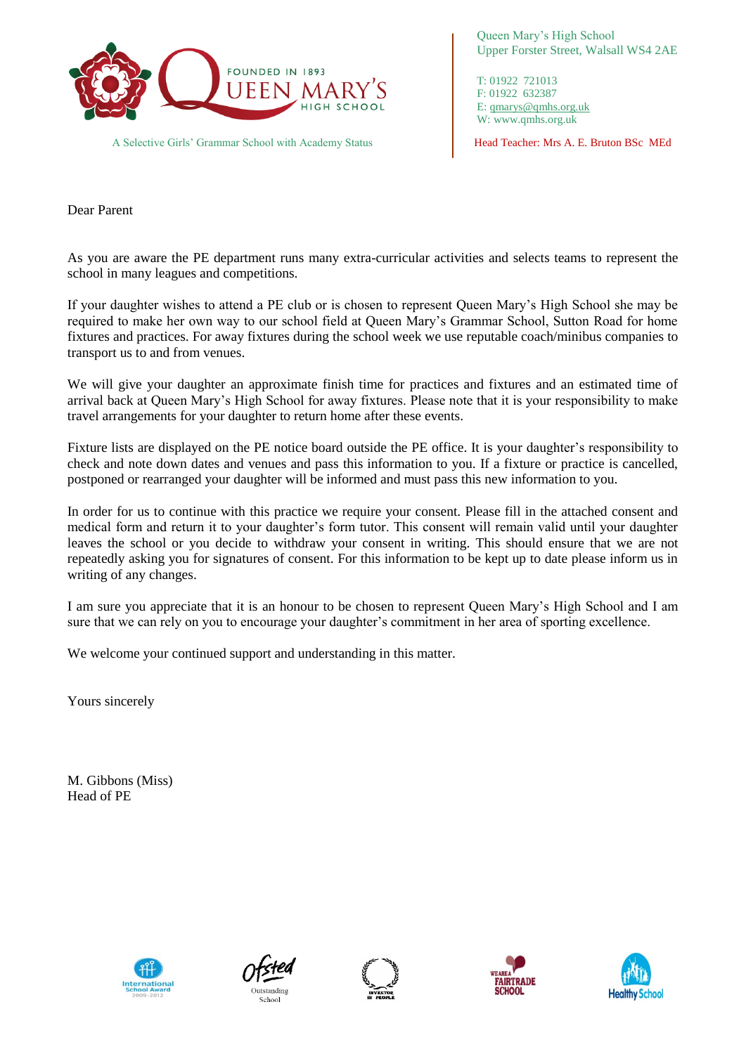

A Selective Girls' Grammar School with Academy Status **Head Teacher: Mrs A. E. Bruton BSc MEd** 

Queen Mary's High School Upper Forster Street, Walsall WS4 2AE

T: 01922 721013 F: 01922 632387 E: [qmarys@qmhs.org.uk](mailto:qmarys@qmhs.org.uk) W: www.qmhs.org.uk

Dear Parent

As you are aware the PE department runs many extra-curricular activities and selects teams to represent the school in many leagues and competitions.

If your daughter wishes to attend a PE club or is chosen to represent Queen Mary's High School she may be required to make her own way to our school field at Queen Mary's Grammar School, Sutton Road for home fixtures and practices. For away fixtures during the school week we use reputable coach/minibus companies to transport us to and from venues.

We will give your daughter an approximate finish time for practices and fixtures and an estimated time of arrival back at Queen Mary's High School for away fixtures. Please note that it is your responsibility to make travel arrangements for your daughter to return home after these events.

Fixture lists are displayed on the PE notice board outside the PE office. It is your daughter's responsibility to check and note down dates and venues and pass this information to you. If a fixture or practice is cancelled, postponed or rearranged your daughter will be informed and must pass this new information to you.

In order for us to continue with this practice we require your consent. Please fill in the attached consent and medical form and return it to your daughter's form tutor. This consent will remain valid until your daughter leaves the school or you decide to withdraw your consent in writing. This should ensure that we are not repeatedly asking you for signatures of consent. For this information to be kept up to date please inform us in writing of any changes.

I am sure you appreciate that it is an honour to be chosen to represent Queen Mary's High School and I am sure that we can rely on you to encourage your daughter's commitment in her area of sporting excellence.

We welcome your continued support and understanding in this matter.

Yours sincerely

M. Gibbons (Miss) Head of PE